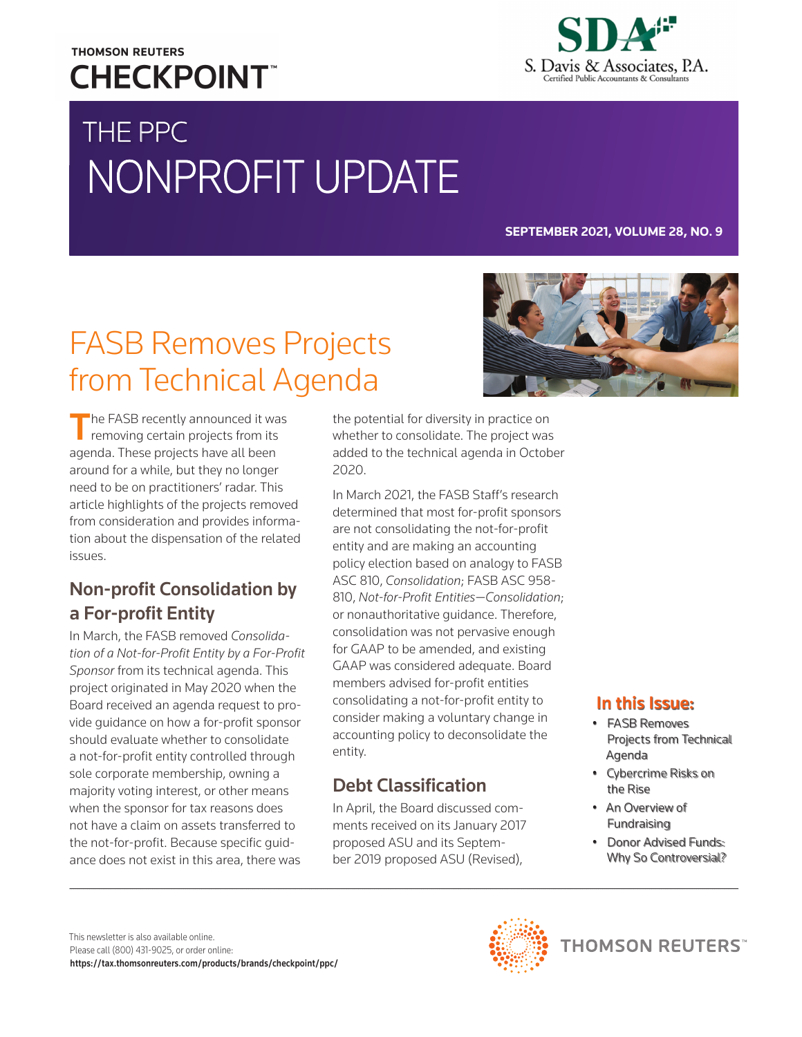### **THOMSON REUTERS CHECKPOINT**



# THE PPC NONPROFIT UPDATE

#### **SEPTEMBER 2021, VOLUME 28, NO. 9**

## FASB Removes Projects from Technical Agenda



The FASB recently announced it was<br>removing certain projects from its agenda. These projects have all been around for a while, but they no longer need to be on practitioners' radar. This article highlights of the projects removed from consideration and provides information about the dispensation of the related issues.

### Non-profit Consolidation by a For-profit Entity

In March, the FASB removed *Consolidation of a Not-for-Profit Entity by a For-Profit Sponsor* from its technical agenda. This project originated in May 2020 when the Board received an agenda request to provide guidance on how a for-profit sponsor should evaluate whether to consolidate a not-for-profit entity controlled through sole corporate membership, owning a majority voting interest, or other means when the sponsor for tax reasons does not have a claim on assets transferred to the not-for-profit. Because specific guidance does not exist in this area, there was

the potential for diversity in practice on whether to consolidate. The project was added to the technical agenda in October 2020.

In March 2021, the FASB Staff's research determined that most for-profit sponsors are not consolidating the not-for-profit entity and are making an accounting policy election based on analogy to FASB ASC 810, *Consolidation*; FASB ASC 958- 810, *Not-for-Profit Entities—Consolidation*; or nonauthoritative guidance. Therefore, consolidation was not pervasive enough for GAAP to be amended, and existing GAAP was considered adequate. Board members advised for-profit entities consolidating a not-for-profit entity to consider making a voluntary change in accounting policy to deconsolidate the entity.

### Debt Classification

In April, the Board discussed comments received on its January 2017 proposed ASU and its September 2019 proposed ASU (Revised),

#### In this Issue:

- FASB Removes Projects from Technical Agenda
- Cybercrime Risks on the Rise
- An Overview of Fundraising
- Donor Advised Funds: Why So Controversial?

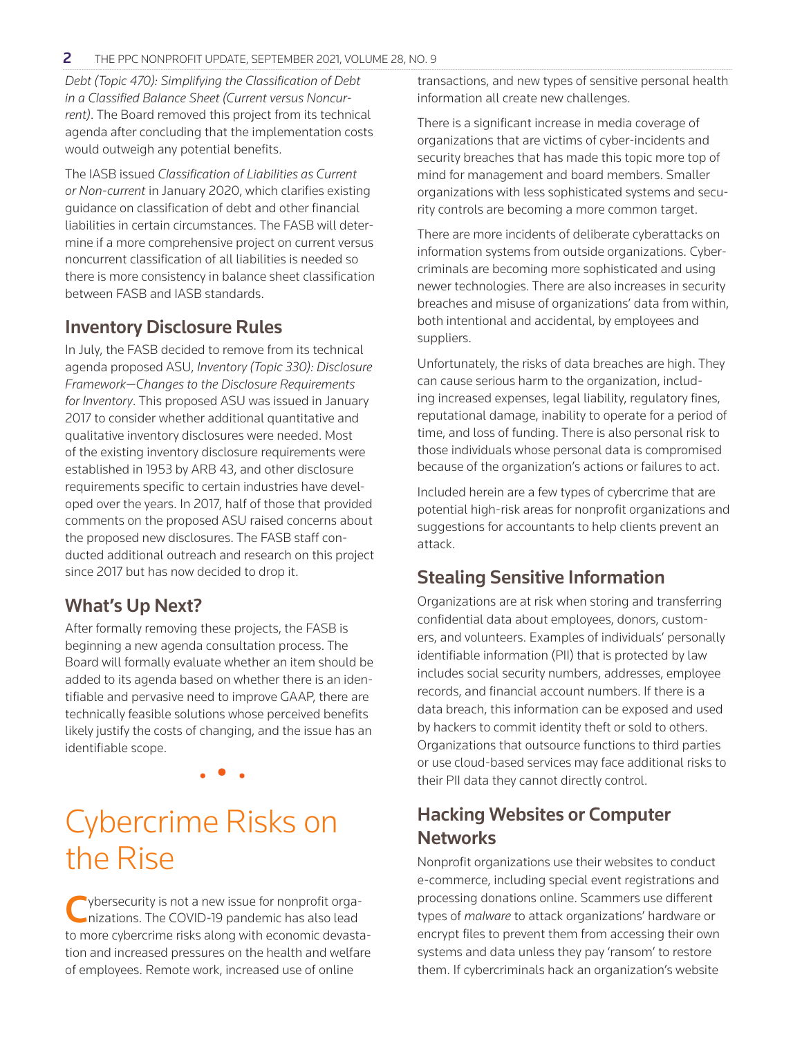*Debt (Topic 470): Simplifying the Classification of Debt in a Classified Balance Sheet (Current versus Noncurrent)*. The Board removed this project from its technical agenda after concluding that the implementation costs would outweigh any potential benefits.

The IASB issued *Classification of Liabilities as Current or Non-current* in January 2020, which clarifies existing guidance on classification of debt and other financial liabilities in certain circumstances. The FASB will determine if a more comprehensive project on current versus noncurrent classification of all liabilities is needed so there is more consistency in balance sheet classification between FASB and IASB standards.

#### Inventory Disclosure Rules

In July, the FASB decided to remove from its technical agenda proposed ASU, *Inventory (Topic 330): Disclosure Framework—Changes to the Disclosure Requirements for Inventory*. This proposed ASU was issued in January 2017 to consider whether additional quantitative and qualitative inventory disclosures were needed. Most of the existing inventory disclosure requirements were established in 1953 by ARB 43, and other disclosure requirements specific to certain industries have developed over the years. In 2017, half of those that provided comments on the proposed ASU raised concerns about the proposed new disclosures. The FASB staff conducted additional outreach and research on this project since 2017 but has now decided to drop it.

#### What's Up Next?

After formally removing these projects, the FASB is beginning a new agenda consultation process. The Board will formally evaluate whether an item should be added to its agenda based on whether there is an identifiable and pervasive need to improve GAAP, there are technically feasible solutions whose perceived benefits likely justify the costs of changing, and the issue has an identifiable scope.

• • •

## Cybercrime Risks on the Rise

vbersecurity is not a new issue for nonprofit organizations. The COVID-19 pandemic has also lead to more cybercrime risks along with economic devastation and increased pressures on the health and welfare of employees. Remote work, increased use of online

transactions, and new types of sensitive personal health information all create new challenges.

There is a significant increase in media coverage of organizations that are victims of cyber-incidents and security breaches that has made this topic more top of mind for management and board members. Smaller organizations with less sophisticated systems and security controls are becoming a more common target.

There are more incidents of deliberate cyberattacks on information systems from outside organizations. Cybercriminals are becoming more sophisticated and using newer technologies. There are also increases in security breaches and misuse of organizations' data from within, both intentional and accidental, by employees and suppliers.

Unfortunately, the risks of data breaches are high. They can cause serious harm to the organization, including increased expenses, legal liability, regulatory fines, reputational damage, inability to operate for a period of time, and loss of funding. There is also personal risk to those individuals whose personal data is compromised because of the organization's actions or failures to act.

Included herein are a few types of cybercrime that are potential high-risk areas for nonprofit organizations and suggestions for accountants to help clients prevent an attack.

#### Stealing Sensitive Information

Organizations are at risk when storing and transferring confidential data about employees, donors, customers, and volunteers. Examples of individuals' personally identifiable information (PII) that is protected by law includes social security numbers, addresses, employee records, and financial account numbers. If there is a data breach, this information can be exposed and used by hackers to commit identity theft or sold to others. Organizations that outsource functions to third parties or use cloud-based services may face additional risks to their PII data they cannot directly control.

#### Hacking Websites or Computer **Networks**

Nonprofit organizations use their websites to conduct e-commerce, including special event registrations and processing donations online. Scammers use different types of *malware* to attack organizations' hardware or encrypt files to prevent them from accessing their own systems and data unless they pay 'ransom' to restore them. If cybercriminals hack an organization's website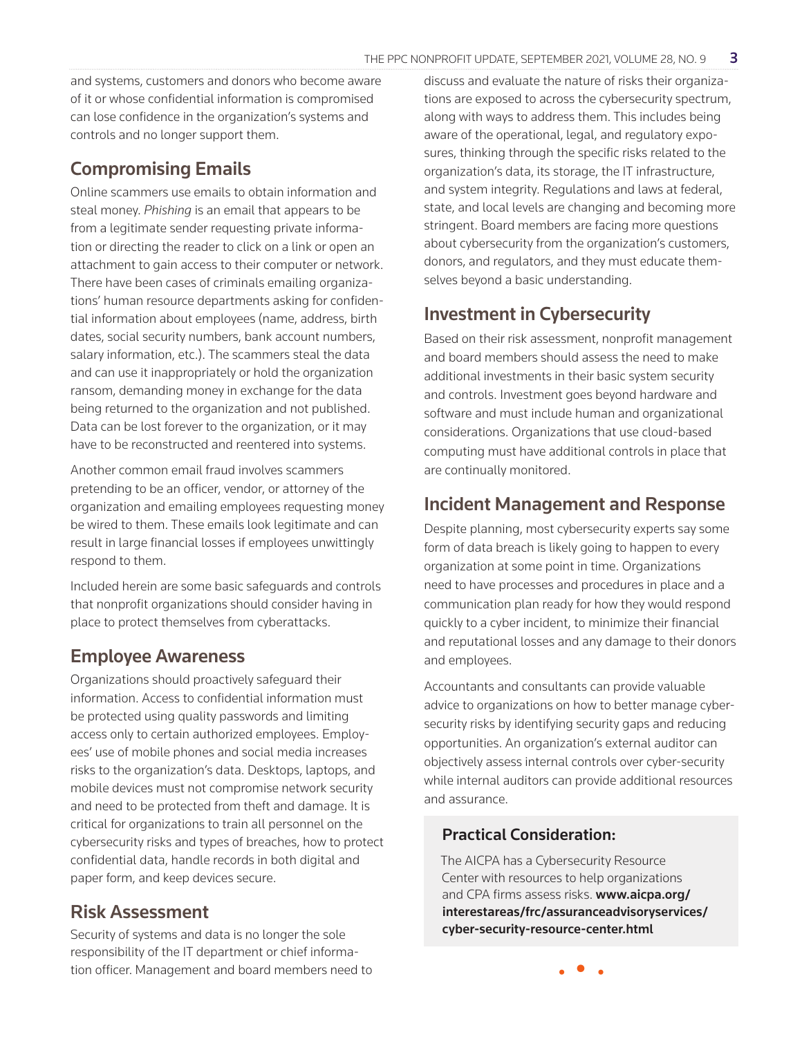and systems, customers and donors who become aware of it or whose confidential information is compromised can lose confidence in the organization's systems and controls and no longer support them.

#### Compromising Emails

Online scammers use emails to obtain information and steal money. *Phishing* is an email that appears to be from a legitimate sender requesting private information or directing the reader to click on a link or open an attachment to gain access to their computer or network. There have been cases of criminals emailing organizations' human resource departments asking for confidential information about employees (name, address, birth dates, social security numbers, bank account numbers, salary information, etc.). The scammers steal the data and can use it inappropriately or hold the organization ransom, demanding money in exchange for the data being returned to the organization and not published. Data can be lost forever to the organization, or it may have to be reconstructed and reentered into systems.

Another common email fraud involves scammers pretending to be an officer, vendor, or attorney of the organization and emailing employees requesting money be wired to them. These emails look legitimate and can result in large financial losses if employees unwittingly respond to them.

Included herein are some basic safeguards and controls that nonprofit organizations should consider having in place to protect themselves from cyberattacks.

#### Employee Awareness

Organizations should proactively safeguard their information. Access to confidential information must be protected using quality passwords and limiting access only to certain authorized employees. Employees' use of mobile phones and social media increases risks to the organization's data. Desktops, laptops, and mobile devices must not compromise network security and need to be protected from theft and damage. It is critical for organizations to train all personnel on the cybersecurity risks and types of breaches, how to protect confidential data, handle records in both digital and paper form, and keep devices secure.

#### Risk Assessment

Security of systems and data is no longer the sole responsibility of the IT department or chief information officer. Management and board members need to

discuss and evaluate the nature of risks their organizations are exposed to across the cybersecurity spectrum, along with ways to address them. This includes being aware of the operational, legal, and regulatory exposures, thinking through the specific risks related to the organization's data, its storage, the IT infrastructure, and system integrity. Regulations and laws at federal, state, and local levels are changing and becoming more stringent. Board members are facing more questions about cybersecurity from the organization's customers, donors, and regulators, and they must educate themselves beyond a basic understanding.

### Investment in Cybersecurity

Based on their risk assessment, nonprofit management and board members should assess the need to make additional investments in their basic system security and controls. Investment goes beyond hardware and software and must include human and organizational considerations. Organizations that use cloud-based computing must have additional controls in place that are continually monitored.

#### Incident Management and Response

Despite planning, most cybersecurity experts say some form of data breach is likely going to happen to every organization at some point in time. Organizations need to have processes and procedures in place and a communication plan ready for how they would respond quickly to a cyber incident, to minimize their financial and reputational losses and any damage to their donors and employees.

Accountants and consultants can provide valuable advice to organizations on how to better manage cybersecurity risks by identifying security gaps and reducing opportunities. An organization's external auditor can objectively assess internal controls over cyber-security while internal auditors can provide additional resources and assurance.

#### Practical Consideration:

The AICPA has a Cybersecurity Resource Center with resources to help organizations and CPA firms assess risks. www.aicpa.org/ interestareas/frc/assuranceadvisoryservices/ cyber-security-resource-center.html

• • •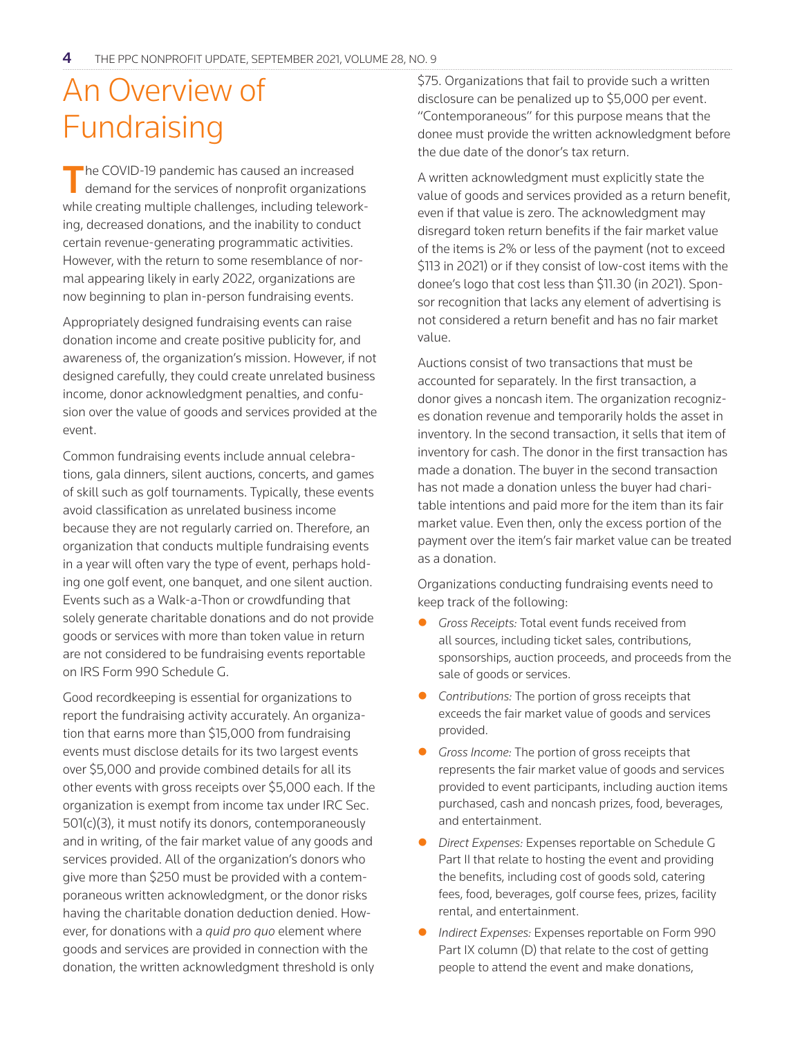## An Overview of Fundraising

The COVID-19 pandemic has caused an increased demand for the services of nonprofit organizations while creating multiple challenges, including teleworking, decreased donations, and the inability to conduct certain revenue-generating programmatic activities. However, with the return to some resemblance of normal appearing likely in early 2022, organizations are now beginning to plan in-person fundraising events.

Appropriately designed fundraising events can raise donation income and create positive publicity for, and awareness of, the organization's mission. However, if not designed carefully, they could create unrelated business income, donor acknowledgment penalties, and confusion over the value of goods and services provided at the event.

Common fundraising events include annual celebrations, gala dinners, silent auctions, concerts, and games of skill such as golf tournaments. Typically, these events avoid classification as unrelated business income because they are not regularly carried on. Therefore, an organization that conducts multiple fundraising events in a year will often vary the type of event, perhaps holding one golf event, one banquet, and one silent auction. Events such as a Walk-a-Thon or crowdfunding that solely generate charitable donations and do not provide goods or services with more than token value in return are not considered to be fundraising events reportable on IRS Form 990 Schedule G.

Good recordkeeping is essential for organizations to report the fundraising activity accurately. An organization that earns more than \$15,000 from fundraising events must disclose details for its two largest events over \$5,000 and provide combined details for all its other events with gross receipts over \$5,000 each. If the organization is exempt from income tax under IRC Sec. 501(c)(3), it must notify its donors, contemporaneously and in writing, of the fair market value of any goods and services provided. All of the organization's donors who give more than \$250 must be provided with a contemporaneous written acknowledgment, or the donor risks having the charitable donation deduction denied. However, for donations with a *quid pro quo* element where goods and services are provided in connection with the donation, the written acknowledgment threshold is only

\$75. Organizations that fail to provide such a written disclosure can be penalized up to \$5,000 per event. "Contemporaneous" for this purpose means that the donee must provide the written acknowledgment before the due date of the donor's tax return.

A written acknowledgment must explicitly state the value of goods and services provided as a return benefit, even if that value is zero. The acknowledgment may disregard token return benefits if the fair market value of the items is 2% or less of the payment (not to exceed \$113 in 2021) or if they consist of low-cost items with the donee's logo that cost less than \$11.30 (in 2021). Sponsor recognition that lacks any element of advertising is not considered a return benefit and has no fair market value.

Auctions consist of two transactions that must be accounted for separately. In the first transaction, a donor gives a noncash item. The organization recognizes donation revenue and temporarily holds the asset in inventory. In the second transaction, it sells that item of inventory for cash. The donor in the first transaction has made a donation. The buyer in the second transaction has not made a donation unless the buyer had charitable intentions and paid more for the item than its fair market value. Even then, only the excess portion of the payment over the item's fair market value can be treated as a donation.

Organizations conducting fundraising events need to keep track of the following:

- Gross Receipts: Total event funds received from all sources, including ticket sales, contributions, sponsorships, auction proceeds, and proceeds from the sale of goods or services.
- **•** Contributions: The portion of gross receipts that exceeds the fair market value of goods and services provided.
- **C** *Gross Income:* The portion of gross receipts that represents the fair market value of goods and services provided to event participants, including auction items purchased, cash and noncash prizes, food, beverages, and entertainment.
- **•** *Direct Expenses: Expenses reportable on Schedule G* Part II that relate to hosting the event and providing the benefits, including cost of goods sold, catering fees, food, beverages, golf course fees, prizes, facility rental, and entertainment.
- **•** *Indirect Expenses:* Expenses reportable on Form 990 Part IX column (D) that relate to the cost of getting people to attend the event and make donations,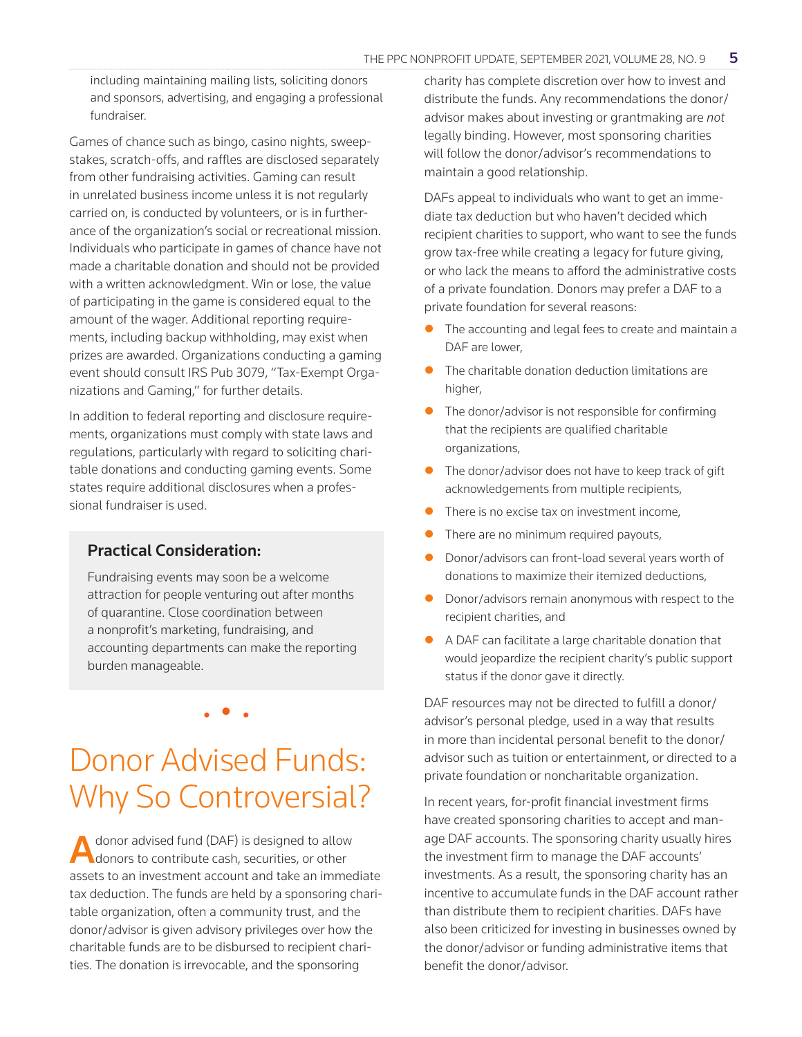including maintaining mailing lists, soliciting donors and sponsors, advertising, and engaging a professional fundraiser.

Games of chance such as bingo, casino nights, sweepstakes, scratch-offs, and raffles are disclosed separately from other fundraising activities. Gaming can result in unrelated business income unless it is not regularly carried on, is conducted by volunteers, or is in furtherance of the organization's social or recreational mission. Individuals who participate in games of chance have not made a charitable donation and should not be provided with a written acknowledgment. Win or lose, the value of participating in the game is considered equal to the amount of the wager. Additional reporting requirements, including backup withholding, may exist when prizes are awarded. Organizations conducting a gaming event should consult IRS Pub 3079, "Tax-Exempt Organizations and Gaming," for further details.

In addition to federal reporting and disclosure requirements, organizations must comply with state laws and regulations, particularly with regard to soliciting charitable donations and conducting gaming events. Some states require additional disclosures when a professional fundraiser is used.

#### Practical Consideration:

Fundraising events may soon be a welcome attraction for people venturing out after months of quarantine. Close coordination between a nonprofit's marketing, fundraising, and accounting departments can make the reporting burden manageable.

## Donor Advised Funds: Why So Controversial?

• • •

donor advised fund (DAF) is designed to allow donors to contribute cash, securities, or other assets to an investment account and take an immediate tax deduction. The funds are held by a sponsoring charitable organization, often a community trust, and the donor/advisor is given advisory privileges over how the charitable funds are to be disbursed to recipient charities. The donation is irrevocable, and the sponsoring

charity has complete discretion over how to invest and distribute the funds. Any recommendations the donor/ advisor makes about investing or grantmaking are *not* legally binding. However, most sponsoring charities will follow the donor/advisor's recommendations to maintain a good relationship.

DAFs appeal to individuals who want to get an immediate tax deduction but who haven't decided which recipient charities to support, who want to see the funds grow tax-free while creating a legacy for future giving, or who lack the means to afford the administrative costs of a private foundation. Donors may prefer a DAF to a private foundation for several reasons:

- The accounting and legal fees to create and maintain a DAF are lower,
- The charitable donation deduction limitations are higher,
- $\bullet$  The donor/advisor is not responsible for confirming that the recipients are qualified charitable organizations,
- The donor/advisor does not have to keep track of gift acknowledgements from multiple recipients,
- There is no excise tax on investment income,
- There are no minimum required payouts,
- Donor/advisors can front-load several years worth of donations to maximize their itemized deductions,
- Donor/advisors remain anonymous with respect to the recipient charities, and
- $\bullet$  A DAF can facilitate a large charitable donation that would jeopardize the recipient charity's public support status if the donor gave it directly.

DAF resources may not be directed to fulfill a donor/ advisor's personal pledge, used in a way that results in more than incidental personal benefit to the donor/ advisor such as tuition or entertainment, or directed to a private foundation or noncharitable organization.

In recent years, for-profit financial investment firms have created sponsoring charities to accept and manage DAF accounts. The sponsoring charity usually hires the investment firm to manage the DAF accounts' investments. As a result, the sponsoring charity has an incentive to accumulate funds in the DAF account rather than distribute them to recipient charities. DAFs have also been criticized for investing in businesses owned by the donor/advisor or funding administrative items that benefit the donor/advisor.